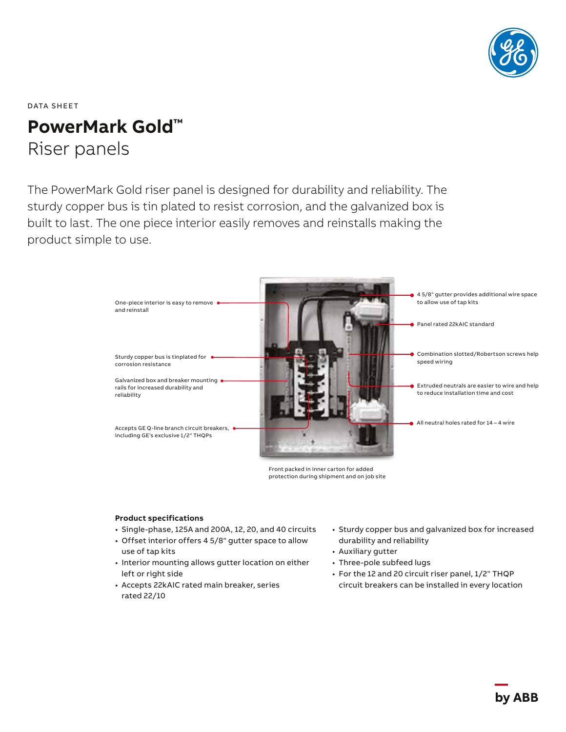

DATA SHEET

# **PowerMark Gold™** Riser panels

The PowerMark Gold riser panel is designed for durability and reliability. The sturdy copper bus is tin plated to resist corrosion, and the galvanized box is built to last. The one piece interior easily removes and reinstalls making the product simple to use.



Front packed in inner carton for added protection during shipment and on job site

### **Product specifications**

- Single-phase, 125A and 200A, 12, 20, and 40 circuits
- Offset interior offers 4 5/8" gutter space to allow use of tap kits
- Interior mounting allows gutter location on either left or right side
- Accepts 22kAIC rated main breaker, series rated 22/10
- Sturdy copper bus and galvanized box for increased durability and reliability
- Auxiliary gutter
- Three-pole subfeed lugs
- For the 12 and 20 circuit riser panel, 1/2" THQP circuit breakers can be installed in every location